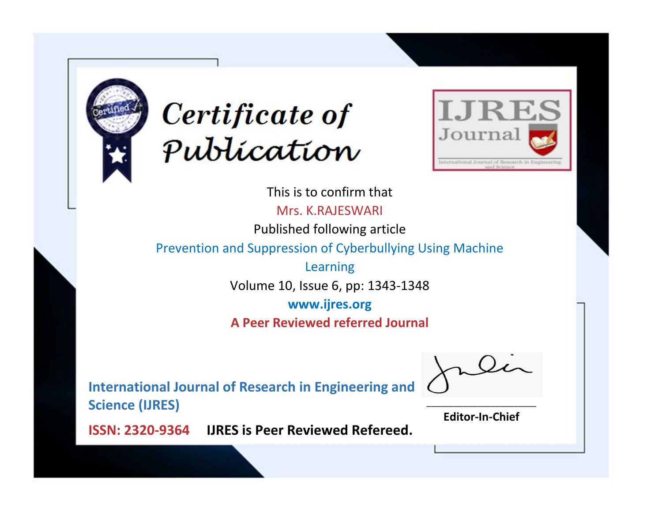



This is to confirm that Mrs. K.RAJESWARI Published following article Prevention and Suppression of Cyberbullying Using Machine Learning Volume 10, Issue 6, pp: 1343-1348 **www.ijres.org**

**A Peer Reviewed referred Journal**

**International Journal of Research in Engineering and Science (IJRES)**

\_\_\_\_\_\_\_\_\_\_\_\_\_\_\_\_\_\_\_\_\_\_\_\_ **Editor-In-Chief**

**Journal.**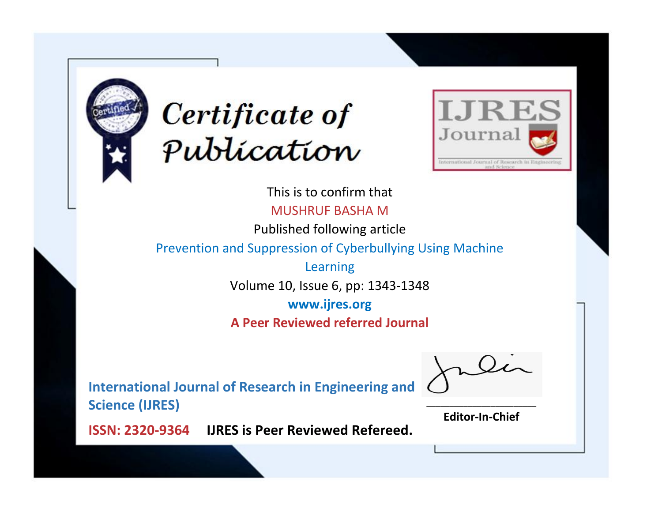



This is to confirm that MUSHRUF BASHA M

Published following article

Prevention and Suppression of Cyberbullying Using Machine

Learning Volume 10, Issue 6, pp: 1343-1348

**www.ijres.org**

**A Peer Reviewed referred Journal**

**International Journal of Research in Engineering and Science (IJRES)**

\_\_\_\_\_\_\_\_\_\_\_\_\_\_\_\_\_\_\_\_\_\_\_\_ **Editor-In-Chief**

**Journal.**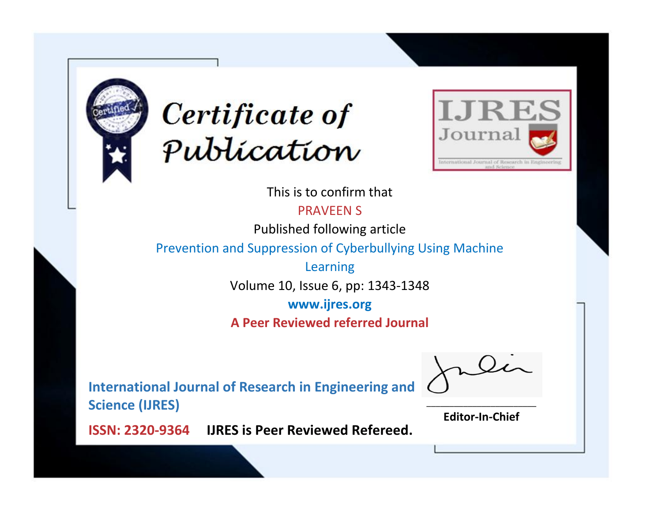



This is to confirm that

PRAVEEN S

Published following article

Prevention and Suppression of Cyberbullying Using Machine

Learning Volume 10, Issue 6, pp: 1343-1348

**www.ijres.org**

**A Peer Reviewed referred Journal**

**International Journal of Research in Engineering and Science (IJRES)**

\_\_\_\_\_\_\_\_\_\_\_\_\_\_\_\_\_\_\_\_\_\_\_\_ **Editor-In-Chief**

**Journal.**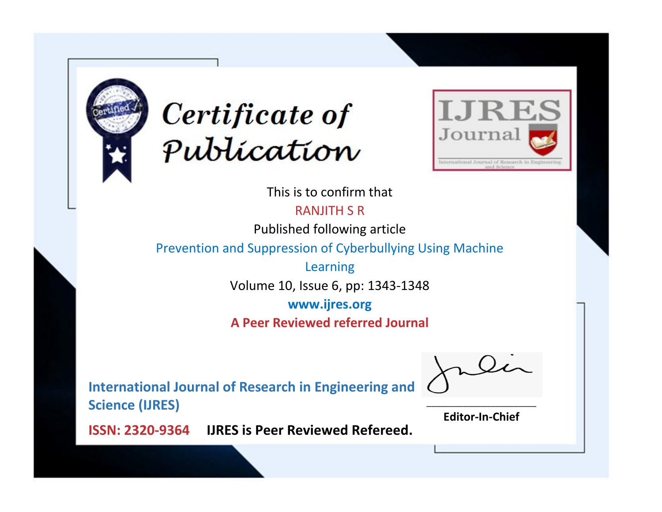



This is to confirm that RANJITH S R

Published following article

Prevention and Suppression of Cyberbullying Using Machine

Learning Volume 10, Issue 6, pp: 1343-1348

**www.ijres.org**

**A Peer Reviewed referred Journal**

**International Journal of Research in Engineering and Science (IJRES)**

\_\_\_\_\_\_\_\_\_\_\_\_\_\_\_\_\_\_\_\_\_\_\_\_ **Editor-In-Chief**

**Journal.**